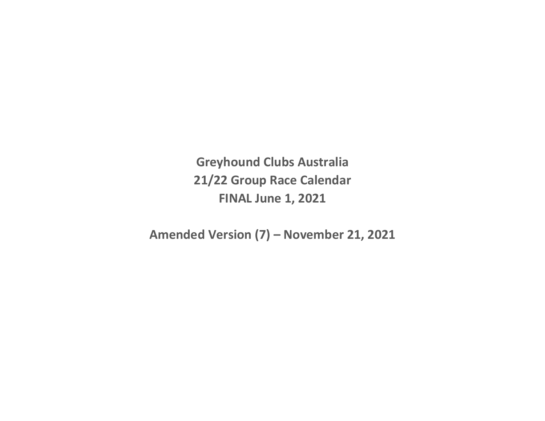**Greyhound Clubs Australia 21/22 Group Race Calendar FINAL June 1, 2021**

**Amended Version (7) – November 21, 2021**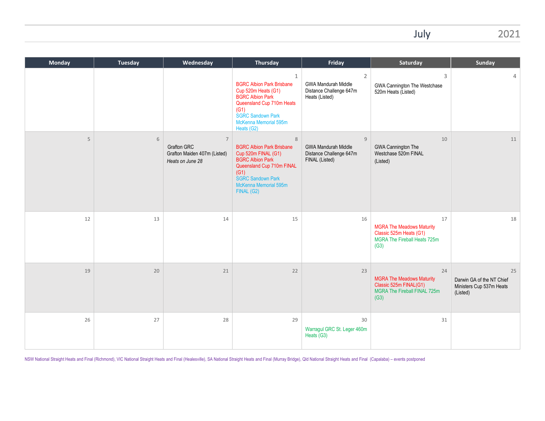July 2021

| <b>Monday</b> | <b>Tuesday</b> | Wednesday                                                                                | <b>Thursday</b>                                                                                                                                                                                            | Friday                                                                                    | Saturday                                                                                                  | Sunday                                                                  |
|---------------|----------------|------------------------------------------------------------------------------------------|------------------------------------------------------------------------------------------------------------------------------------------------------------------------------------------------------------|-------------------------------------------------------------------------------------------|-----------------------------------------------------------------------------------------------------------|-------------------------------------------------------------------------|
|               |                |                                                                                          | $\mathbf{1}$<br><b>BGRC Albion Park Brisbane</b><br>Cup 520m Heats (G1)<br><b>BGRC Albion Park</b><br>Queensland Cup 710m Heats<br>(G1)<br><b>SGRC Sandown Park</b><br>McKenna Memorial 595m<br>Heats (G2) | $\overline{2}$<br><b>GWA Mandurah Middle</b><br>Distance Challenge 647m<br>Heats (Listed) | 3<br>GWA Cannington The Westchase<br>520m Heats (Listed)                                                  | 4                                                                       |
| 5             | 6              | $\overline{7}$<br><b>Grafton GRC</b><br>Grafton Maiden 407m (Listed)<br>Heats on June 28 | 8<br><b>BGRC Albion Park Brisbane</b><br>Cup 520m FINAL (G1)<br><b>BGRC Albion Park</b><br>Queensland Cup 710m FINAL<br>(G1)<br><b>SGRC Sandown Park</b><br>McKenna Memorial 595m<br>FINAL (G2)            | 9<br><b>GWA Mandurah Middle</b><br>Distance Challenge 647m<br>FINAL (Listed)              | 10<br><b>GWA Cannington The</b><br>Westchase 520m FINAL<br>(Listed)                                       | 11                                                                      |
| 12            | 13             | 14                                                                                       | 15                                                                                                                                                                                                         | 16                                                                                        | 17<br><b>MGRA The Meadows Maturity</b><br>Classic 525m Heats (G1)<br>MGRA The Fireball Heats 725m<br>(G3) | 18                                                                      |
| 19            | 20             | 21                                                                                       | 22                                                                                                                                                                                                         | 23                                                                                        | 24<br><b>MGRA The Meadows Maturity</b><br>Classic 525m FINAL(G1)<br>MGRA The Fireball FINAL 725m<br>(G3)  | 25<br>Darwin GA of the NT Chief<br>Ministers Cup 537m Heats<br>(Listed) |
| 26            | 27             | 28                                                                                       | 29                                                                                                                                                                                                         | 30<br>Warragul GRC St. Leger 460m<br>Heats (G3)                                           | 31                                                                                                        |                                                                         |

NSW National Straight Heats and Final (Richmond), VIC National Straight Heats and Final (Healesville), SA National Straight Heats and Final (Murray Bridge), Qld National Straight Heats and Final (Capalaba) – events postpon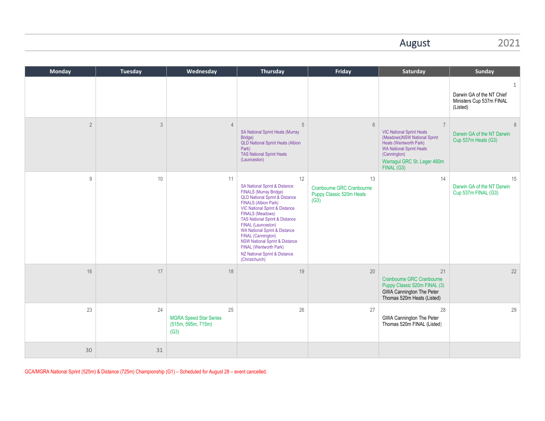### August 2021

| <b>Monday</b>  | <b>Tuesday</b> | Wednesday                                                         | Thursday                                                                                                                                                                                                                                                                                                                                                                                                                                                                                                  | Friday                                                              | Saturday                                                                                                                                                                                                    | Sunday                                                                 |
|----------------|----------------|-------------------------------------------------------------------|-----------------------------------------------------------------------------------------------------------------------------------------------------------------------------------------------------------------------------------------------------------------------------------------------------------------------------------------------------------------------------------------------------------------------------------------------------------------------------------------------------------|---------------------------------------------------------------------|-------------------------------------------------------------------------------------------------------------------------------------------------------------------------------------------------------------|------------------------------------------------------------------------|
|                |                |                                                                   |                                                                                                                                                                                                                                                                                                                                                                                                                                                                                                           |                                                                     |                                                                                                                                                                                                             | 1<br>Darwin GA of the NT Chief<br>Ministers Cup 537m FINAL<br>(Listed) |
| $\overline{2}$ | $\mathfrak{Z}$ | $\overline{4}$                                                    | 5<br><b>SA National Sprint Heats (Murray</b><br>Bridge)<br><b>QLD National Sprint Heats (Albion</b><br>Park)<br><b>TAS National Sprint Heats</b><br>(Launceston)                                                                                                                                                                                                                                                                                                                                          | 6                                                                   | $\overline{7}$<br><b>VIC National Sprint Heats</b><br>(Meadows)NSW National Sprint<br>Heats (Wentworth Park)<br><b>WA National Sprint Heats</b><br>(Cannington)<br>Warragul GRC St. Leger 460m<br>FINAL(G3) | 8<br>Darwin GA of the NT Darwin<br>Cup 537m Heats (G3)                 |
| 9              | 10             | 11                                                                | 12<br><b>SA National Sprint &amp; Distance</b><br><b>FINALS (Murray Bridge)</b><br><b>QLD National Sprint &amp; Distance</b><br><b>FINALS (Albion Park)</b><br><b>VIC National Sprint &amp; Distance</b><br><b>FINALS (Meadows)</b><br><b>TAS National Sprint &amp; Distance</b><br>FINAL (Launceston)<br><b>WA National Sprint &amp; Distance</b><br><b>FINAL (Cannington)</b><br><b>NSW National Sprint &amp; Distance</b><br>FINAL (Wentworth Park)<br>NZ National Sprint & Distance<br>(Christchurch) | 13<br>Cranbourne GRC Cranbourne<br>Puppy Classic 520m Heats<br>(G3) | 14                                                                                                                                                                                                          | 15<br>Darwin GA of the NT Darwin<br>Cup 537m FINAL (G3)                |
| 16             | 17             | 18                                                                | 19                                                                                                                                                                                                                                                                                                                                                                                                                                                                                                        | 20                                                                  | 21<br>Cranbourne GRC Cranbourne<br>Puppy Classic 520m FINAL (3)<br><b>GWA Cannington The Peter</b><br>Thomas 520m Heats (Listed)                                                                            | 22                                                                     |
| 23             | 24             | 25<br><b>MGRA Speed Star Series</b><br>(515m, 595m, 715m)<br>(G3) | 26                                                                                                                                                                                                                                                                                                                                                                                                                                                                                                        | 27                                                                  | 28<br><b>GWA Cannington The Peter</b><br>Thomas 520m FINAL (Listed)                                                                                                                                         | 29                                                                     |
| 30             | 31             |                                                                   |                                                                                                                                                                                                                                                                                                                                                                                                                                                                                                           |                                                                     |                                                                                                                                                                                                             |                                                                        |

GCA/MGRA National Sprint (525m) & Distance (725m) Championship (G1) – Scheduled for August 28 – event cancelled.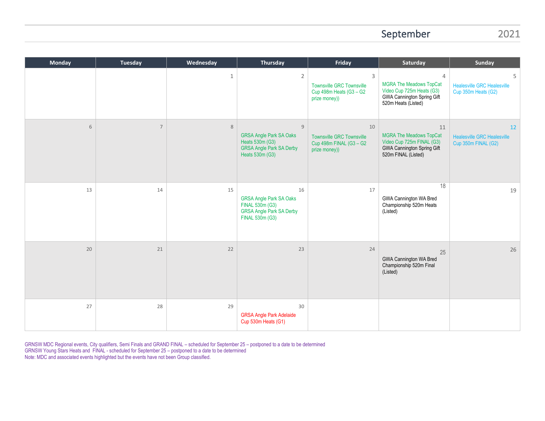#### September 2021

| <b>Monday</b> | <b>Tuesday</b> | Wednesday    | <b>Thursday</b>                                                                                                           | Friday                                                                                       | Saturday                                                                                                                      | Sunday                                                          |
|---------------|----------------|--------------|---------------------------------------------------------------------------------------------------------------------------|----------------------------------------------------------------------------------------------|-------------------------------------------------------------------------------------------------------------------------------|-----------------------------------------------------------------|
|               |                | $\mathbf{1}$ | $\overline{2}$                                                                                                            | $\mathsf{3}$<br><b>Townsville GRC Townsville</b><br>Cup 498m Heats (G3 - G2<br>prize money)) | 4<br><b>MGRA The Meadows TopCat</b><br>Video Cup 725m Heats (G3)<br><b>GWA Cannington Spring Gift</b><br>520m Heats (Listed)  | 5<br><b>Healesville GRC Healesville</b><br>Cup 350m Heats (G2)  |
| 6             | $\overline{7}$ | $\,8\,$      | $\overline{9}$<br><b>GRSA Angle Park SA Oaks</b><br>Heats 530m (G3)<br><b>GRSA Angle Park SA Derby</b><br>Heats 530m (G3) | 10<br><b>Townsville GRC Townsville</b><br>Cup 498m FINAL (G3 - G2<br>prize money))           | 11<br><b>MGRA The Meadows TopCat</b><br>Video Cup 725m FINAL (G3)<br><b>GWA Cannington Spring Gift</b><br>520m FINAL (Listed) | 12<br><b>Healesville GRC Healesville</b><br>Cup 350m FINAL (G2) |
| 13            | 14             | 15           | 16<br><b>GRSA Angle Park SA Oaks</b><br>FINAL 530m (G3)<br><b>GRSA Angle Park SA Derby</b><br>FINAL 530m (G3)             | 17                                                                                           | 18<br>GWA Cannington WA Bred<br>Championship 520m Heats<br>(Listed)                                                           | 19                                                              |
| 20            | 21             | 22           | 23                                                                                                                        | 24                                                                                           | 25<br>GWA Cannington WA Bred<br>Championship 520m Final<br>(Listed)                                                           | 26                                                              |
| 27            | 28             | 29           | 30<br><b>GRSA Angle Park Adelaide</b><br>Cup 530m Heats (G1)                                                              |                                                                                              |                                                                                                                               |                                                                 |

GRNSW MDC Regional events, City qualifiers, Semi Finals and GRAND FINAL – scheduled for September 25 – postponed to a date to be determined GRNSW Young Stars Heats and FINAL - scheduled for September 25 – postponed to a date to be determined Note: MDC and associated events highlighted but the events have not been Group classified.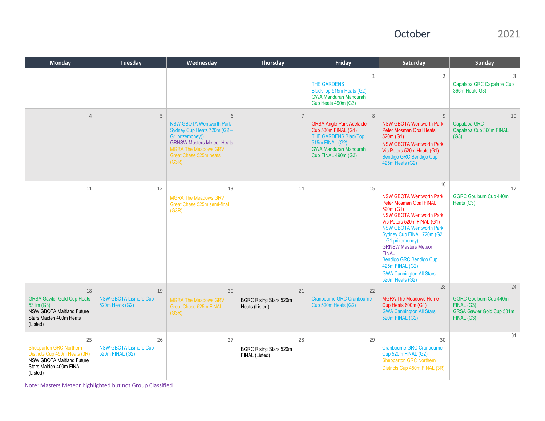October 2021

| <b>Monday</b>                                                                                                                                    | <b>Tuesday</b>                                        | Wednesday                                                                                                                                                                                                   | Thursday                                              | Friday                                                                                                                                                        | Saturday                                                                                                                                                                                                                                                                                                                                                                                     | <b>Sunday</b>                                                                                |
|--------------------------------------------------------------------------------------------------------------------------------------------------|-------------------------------------------------------|-------------------------------------------------------------------------------------------------------------------------------------------------------------------------------------------------------------|-------------------------------------------------------|---------------------------------------------------------------------------------------------------------------------------------------------------------------|----------------------------------------------------------------------------------------------------------------------------------------------------------------------------------------------------------------------------------------------------------------------------------------------------------------------------------------------------------------------------------------------|----------------------------------------------------------------------------------------------|
|                                                                                                                                                  |                                                       |                                                                                                                                                                                                             |                                                       | $\mathbf{1}$<br>THE GARDENS<br>BlackTop 515m Heats (G2)<br><b>GWA Mandurah Mandurah</b><br>Cup Heats 490m (G3)                                                | $\overline{2}$                                                                                                                                                                                                                                                                                                                                                                               | 3<br>Capalaba GRC Capalaba Cup<br>366m Heats G3)                                             |
| $\overline{4}$                                                                                                                                   | 5                                                     | $6\overline{6}$<br><b>NSW GBOTA Wentworth Park</b><br>Sydney Cup Heats 720m (G2 -<br>G1 prizemoney))<br><b>GRNSW Masters Meteor Heats</b><br><b>MGRA The Meadows GRV</b><br>Great Chase 525m heats<br>(G3R) | $\overline{7}$                                        | 8<br><b>GRSA Angle Park Adelaide</b><br>Cup 530m FINAL (G1)<br>THE GARDENS BlackTop<br>515m FINAL (G2)<br><b>GWA Mandurah Mandurah</b><br>Cup FINAL 490m (G3) | $\mathsf{q}$<br><b>NSW GBOTA Wentworth Park</b><br><b>Peter Mosman Opal Heats</b><br>520m (G1)<br><b>NSW GBOTA Wentworth Park</b><br>Vic Peters 520m Heats (G1)<br>Bendigo GRC Bendigo Cup<br>425m Heats (G2)                                                                                                                                                                                | 10<br>Capalaba GRC<br>Capalaba Cup 366m FINAL<br>(G3)                                        |
| 11                                                                                                                                               | 12                                                    | 13<br><b>MGRA The Meadows GRV</b><br>Great Chase 525m semi-final<br>(G3R)                                                                                                                                   | 14                                                    | 15                                                                                                                                                            | 16<br><b>NSW GBOTA Wentworth Park</b><br>Peter Mosman Opal FINAL<br>520m (G1)<br><b>NSW GBOTA Wentworth Park</b><br>Vic Peters 520m FINAL (G1)<br><b>NSW GBOTA Wentworth Park</b><br>Sydney Cup FINAL 720m (G2<br>- G1 prizemoney)<br><b>GRNSW Masters Meteor</b><br><b>FINAL</b><br><b>Bendigo GRC Bendigo Cup</b><br>425m FINAL (G2)<br><b>GWA Cannington All Stars</b><br>520m Heats (G2) | 17<br><b>GGRC Goulburn Cup 440m</b><br>Heats (G3)                                            |
| 18<br><b>GRSA Gawler Gold Cup Heats</b><br>531m (G3)<br><b>NSW GBOTA Maitland Future</b><br>Stars Maiden 400m Heats<br>(Listed)                  | 19<br><b>NSW GBOTA Lismore Cup</b><br>520m Heats (G2) | 20<br><b>MGRA The Meadows GRV</b><br>Great Chase 525m FINAL<br>(G3R)                                                                                                                                        | 21<br><b>BGRC Rising Stars 520m</b><br>Heats (Listed) | 22<br><b>Cranbourne GRC Cranbourne</b><br>Cup 520m Heats (G2)                                                                                                 | 23<br><b>MGRA The Meadows Hume</b><br>Cup Heats 600m (G1)<br><b>GWA Cannington All Stars</b><br>520m FINAL (G2)                                                                                                                                                                                                                                                                              | 24<br><b>GGRC Goulburn Cup 440m</b><br>FINAL (G3)<br>GRSA Gawler Gold Cup 531m<br>FINAL (G3) |
| 25<br><b>Shepparton GRC Northern</b><br>Districts Cup 450m Heats (3R)<br><b>NSW GBOTA Maitland Future</b><br>Stars Maiden 400m FINAL<br>(Listed) | 26<br><b>NSW GBOTA Lismore Cup</b><br>520m FINAL (G2) | 27                                                                                                                                                                                                          | 28<br>BGRC Rising Stars 520m<br>FINAL (Listed)        | 29                                                                                                                                                            | 30<br><b>Cranbourne GRC Cranbourne</b><br>Cup 520m FINAL (G2)<br>Shepparton GRC Northern<br>Districts Cup 450m FINAL (3R)                                                                                                                                                                                                                                                                    | 31                                                                                           |

Note: Masters Meteor highlighted but not Group Classified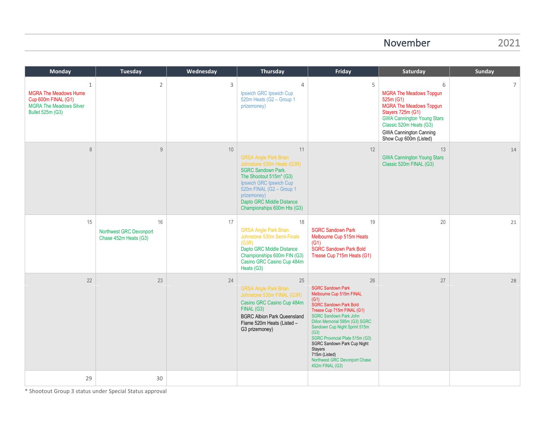#### November 2021

| <b>Monday</b>                                                                                                         | <b>Tuesday</b>                                         | Wednesday | Thursday                                                                                                                                                                                                                                                   | Friday                                                                                                                                                                                                                                                                                                                                                                                                 | Saturday                                                                                                                                                                                                                           | <b>Sunday</b> |
|-----------------------------------------------------------------------------------------------------------------------|--------------------------------------------------------|-----------|------------------------------------------------------------------------------------------------------------------------------------------------------------------------------------------------------------------------------------------------------------|--------------------------------------------------------------------------------------------------------------------------------------------------------------------------------------------------------------------------------------------------------------------------------------------------------------------------------------------------------------------------------------------------------|------------------------------------------------------------------------------------------------------------------------------------------------------------------------------------------------------------------------------------|---------------|
| 1<br><b>MGRA The Meadows Hume</b><br>Cup 600m FINAL (G1)<br><b>MGRA The Meadows Silver</b><br><b>Bullet 525m (G3)</b> | $\sqrt{2}$                                             | 3         | $\overline{4}$<br>Ipswich GRC Ipswich Cup<br>520m Heats (G2 - Group 1<br>prizemoney)                                                                                                                                                                       | 5                                                                                                                                                                                                                                                                                                                                                                                                      | 6<br><b>MGRA The Meadows Topgun</b><br>525m (G1)<br><b>MGRA</b> The Meadows Topgun<br>Stayers 725m (G1)<br><b>GWA Cannington Young Stars</b><br>Classic 520m Heats (G3)<br><b>GWA Cannington Canning</b><br>Show Cup 600m (Listed) | 7             |
| 8                                                                                                                     | 9                                                      | 10        | 11<br><b>GRSA Angle Park Brian</b><br>Johnstone 530m Heats (G3R)<br><b>SGRC Sandown Park.</b><br>The Shootout 515m* (G3)<br>Ipswich GRC Ipswich Cup<br>520m FINAL (G2 - Group 1<br>prizemoney)<br>Dapto GRC Middle Distance<br>Championships 600m Hts (G3) | 12                                                                                                                                                                                                                                                                                                                                                                                                     | 13<br><b>GWA Cannington Young Stars</b><br>Classic 520m FINAL (G3)                                                                                                                                                                 | 14            |
| 15                                                                                                                    | 16<br>Northwest GRC Devonport<br>Chase 452m Heats (G3) | 17        | 18<br><b>GRSA Angle Park Brian</b><br>Johnstone 530m Semi-Finals<br>(G3R)<br>Dapto GRC Middle Distance<br>Championships 600m FIN (G3)<br>Casino GRC Casino Cup 484m<br>Heats (G3)                                                                          | 19<br><b>SGRC Sandown Park</b><br>Melbourne Cup 515m Heats<br>(G1)<br>SGRC Sandown Park Bold<br>Trease Cup 715m Heats (G1)                                                                                                                                                                                                                                                                             | 20                                                                                                                                                                                                                                 | 21            |
| 22                                                                                                                    | 23                                                     | 24        | 25<br><b>GRSA Angle Park Brian</b><br>Johnstone 530m FINAL (G3R)<br>Casino GRC Casino Cup 484m<br>FINAL (G3)<br><b>BGRC Albion Park Queensland</b><br>Flame 520m Heats (Listed -<br>G3 prizemoney)                                                         | 26<br><b>SGRC Sandown Park</b><br>Melbourne Cup 515m FINAL<br>(G1)<br><b>SGRC Sandown Park Bold</b><br>Trease Cup 715m FINAL (G1)<br><b>SGRC Sandown Park John</b><br>Dillon Memorial 595m (G3) SGRC<br>Sandown Cup Night Sprint 515m<br>(G3)<br>SGRC Provincial Plate 515m (G3)<br>SGRC Sandown Park Cup Night<br><b>Stayers</b><br>715m (Listed)<br>Northwest GRC Devonport Chase<br>452m FINAL (G3) | 27                                                                                                                                                                                                                                 | 28            |
| 29                                                                                                                    | 30                                                     |           |                                                                                                                                                                                                                                                            |                                                                                                                                                                                                                                                                                                                                                                                                        |                                                                                                                                                                                                                                    |               |

Shootout Group 3 st \* Shootout Group 3 status under Special Status approval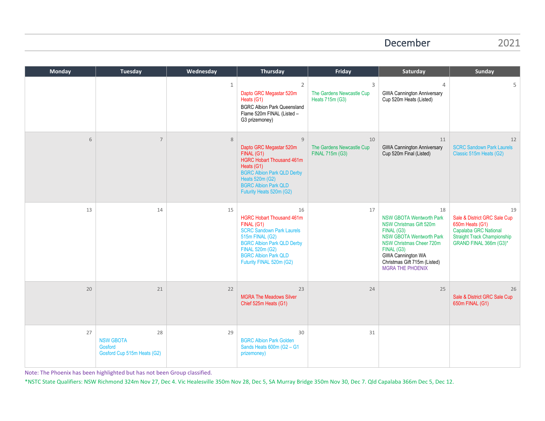#### December 2021

| <b>Monday</b> | <b>Tuesday</b>                                                   | Wednesday    | <b>Thursday</b>                                                                                                                                                                                                                       | Friday                                             | Saturday                                                                                                                                                                                                                                                  | <b>Sunday</b>                                                                                                                                  |
|---------------|------------------------------------------------------------------|--------------|---------------------------------------------------------------------------------------------------------------------------------------------------------------------------------------------------------------------------------------|----------------------------------------------------|-----------------------------------------------------------------------------------------------------------------------------------------------------------------------------------------------------------------------------------------------------------|------------------------------------------------------------------------------------------------------------------------------------------------|
|               |                                                                  | $\mathbf{1}$ | $\overline{2}$<br>Dapto GRC Megastar 520m<br>Heats (G1)<br><b>BGRC Albion Park Queensland</b><br>Flame 520m FINAL (Listed -<br>G3 prizemoney)                                                                                         | 3<br>The Gardens Newcastle Cup<br>Heats 715m (G3)  | $\overline{4}$<br><b>GWA Cannington Anniversary</b><br>Cup 520m Heats (Listed)                                                                                                                                                                            | 5                                                                                                                                              |
| 6             | $\overline{7}$                                                   | 8            | 9<br>Dapto GRC Megastar 520m<br>FINAL (G1)<br><b>HGRC Hobart Thousand 461m</b><br>Heats (G1)<br><b>BGRC Albion Park QLD Derby</b><br>Heats 520m (G2)<br><b>BGRC Albion Park QLD</b><br>Futurity Heats 520m (G2)                       | 10<br>The Gardens Newcastle Cup<br>FINAL 715m (G3) | 11<br><b>GWA Cannington Anniversary</b><br>Cup 520m Final (Listed)                                                                                                                                                                                        | 12<br><b>SCRC Sandown Park Laurels</b><br>Classic 515m Heats (G2)                                                                              |
| 13            | 14                                                               | 15           | 16<br><b>HGRC Hobart Thousand 461m</b><br>FINAL (G1)<br><b>SCRC Sandown Park Laurels</b><br>515m FINAL (G2)<br><b>BGRC Albion Park QLD Derby</b><br><b>FINAL 520m (G2)</b><br><b>BGRC Albion Park QLD</b><br>Futurity FINAL 520m (G2) | 17                                                 | 18<br><b>NSW GBOTA Wentworth Park</b><br><b>NSW Christmas Gift 520m</b><br>FINAL (G3)<br><b>NSW GBOTA Wentworth Park</b><br>NSW Christmas Cheer 720m<br>FINAL (G3)<br><b>GWA Cannington WA</b><br>Christmas Gift 715m (Listed)<br><b>MGRA THE PHOENIX</b> | 19<br>Sale & District GRC Sale Cup<br>650m Heats (G1)<br>Capalaba GRC National<br><b>Straight Track Championship</b><br>GRAND FINAL 366m (G3)* |
| 20            | 21                                                               | 22           | 23<br><b>MGRA The Meadows Silver</b><br>Chief 525m Heats (G1)                                                                                                                                                                         | 24                                                 | 25                                                                                                                                                                                                                                                        | 26<br>Sale & District GRC Sale Cup<br>650m FINAL (G1)                                                                                          |
| 27            | 28<br><b>NSW GBOTA</b><br>Gosford<br>Gosford Cup 515m Heats (G2) | 29           | 30<br><b>BGRC Albion Park Golden</b><br>Sands Heats 600m (G2 - G1<br>prizemoney)                                                                                                                                                      | 31                                                 |                                                                                                                                                                                                                                                           |                                                                                                                                                |

Note: The Phoenix has been highlighted but has not been Group classified.

\*NSTC State Qualifiers: NSW Richmond 324m Nov 27, Dec 4. Vic Healesville 350m Nov 28, Dec 5, SA Murray Bridge 350m Nov 30, Dec 7. Qld Capalaba 366m Dec 5, Dec 12.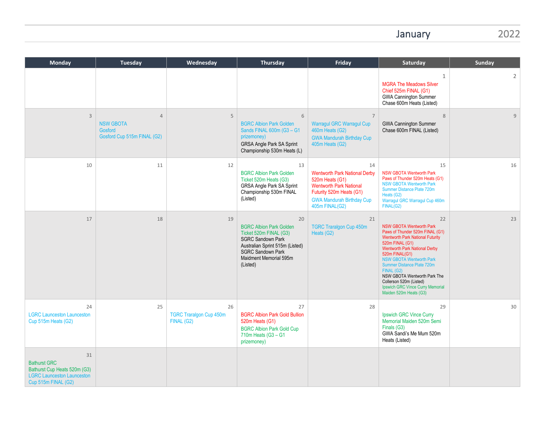## January 2022

| <b>Monday</b>                                                                                                         | Tuesday                                                                      | Wednesday                                          | <b>Thursday</b>                                                                                                                                                                                 | Friday                                                                                                                                                                            | Saturday                                                                                                                                                                                                                                                                                                                                                                                                 | Sunday         |
|-----------------------------------------------------------------------------------------------------------------------|------------------------------------------------------------------------------|----------------------------------------------------|-------------------------------------------------------------------------------------------------------------------------------------------------------------------------------------------------|-----------------------------------------------------------------------------------------------------------------------------------------------------------------------------------|----------------------------------------------------------------------------------------------------------------------------------------------------------------------------------------------------------------------------------------------------------------------------------------------------------------------------------------------------------------------------------------------------------|----------------|
|                                                                                                                       |                                                                              |                                                    |                                                                                                                                                                                                 |                                                                                                                                                                                   | $\mathbf{1}$<br><b>MGRA The Meadows Silver</b><br>Chief 525m FINAL (G1)<br><b>GWA Cannington Summer</b><br>Chase 600m Heats (Listed)                                                                                                                                                                                                                                                                     | $\overline{2}$ |
| $\overline{3}$                                                                                                        | $\overline{4}$<br><b>NSW GBOTA</b><br>Gosford<br>Gosford Cup 515m FINAL (G2) | 5                                                  | 6<br><b>BGRC Albion Park Golden</b><br>Sands FINAL 600m (G3 - G1<br>prizemoney)<br>GRSA Angle Park SA Sprint<br>Championship 530m Heats (L)                                                     | 7<br><b>Warragul GRC Warragul Cup</b><br>460m Heats (G2)<br><b>GWA Mandurah Birthday Cup</b><br>405m Heats (G2)                                                                   | 8<br><b>GWA Cannington Summer</b><br>Chase 600m FINAL (Listed)                                                                                                                                                                                                                                                                                                                                           | $\overline{9}$ |
| 10                                                                                                                    | 11                                                                           | 12                                                 | 13<br><b>BGRC Albion Park Golden</b><br>Ticket 520m Heats (G3)<br>GRSA Angle Park SA Sprint<br>Championship 530m FINAL<br>(Listed)                                                              | 14<br><b>Wentworth Park National Derby</b><br>520m Heats (G1)<br><b>Wentworth Park National</b><br>Futurity 520m Heats (G1)<br><b>GWA Mandurah Birthday Cup</b><br>405m FINAL(G2) | 15<br><b>NSW GBOTA Wentworth Park</b><br>Paws of Thunder 520m Heats (G1)<br><b>NSW GBOTA Wentworth Park</b><br>Summer Distance Plate 720m<br>Heats (G2)<br>Warragul GRC Warragul Cup 460m<br>FINAL(G2)                                                                                                                                                                                                   | 16             |
| 17                                                                                                                    | 18                                                                           | 19                                                 | 20<br><b>BGRC Albion Park Golden</b><br>Ticket 520m FINAL (G3)<br><b>SGRC Sandown Park</b><br>Australian Sprint 515m (Listed)<br><b>SGRC Sandown Park</b><br>Maidment Memorial 595m<br>(Listed) | 21<br><b>TGRC Traralgon Cup 450m</b><br>Heats (G2)                                                                                                                                | 22<br><b>NSW GBOTA Wentworth Park</b><br>Paws of Thunder 520m FINAL (G1)<br><b>Wentworth Park National Futurity</b><br>520m FINAL (G1)<br><b>Wentworth Park National Derby</b><br>520m FINAL(G1)<br><b>NSW GBOTA Wentworth Park</b><br>Summer Distance Plate 720m<br>FINAL (G2)<br>NSW GBOTA Wentworth Park The<br>Collerson 520m (Listed)<br>Ipswich GRC Vince Curry Memorial<br>Maiden 520m Heats (G3) | 23             |
| 24<br><b>LGRC Launceston Launceston</b><br>Cup 515m Heats (G2)                                                        | 25                                                                           | 26<br><b>TGRC Traralgon Cup 450m</b><br>FINAL (G2) | 27<br><b>BGRC Albion Park Gold Bullion</b><br>520m Heats (G1)<br><b>BGRC Albion Park Gold Cup</b><br>710m Heats (G3 - G1<br>prizemoney)                                                         | 28                                                                                                                                                                                | 29<br>Ipswich GRC Vince Curry<br>Memorial Maiden 520m Semi<br>Finals (G3)<br>GWA Sandi's Me Mum 520m<br>Heats (Listed)                                                                                                                                                                                                                                                                                   | 30             |
| 31<br><b>Bathurst GRC</b><br>Bathurst Cup Heats 520m (G3)<br><b>LGRC Launceston Launceston</b><br>Cup 515m FINAL (G2) |                                                                              |                                                    |                                                                                                                                                                                                 |                                                                                                                                                                                   |                                                                                                                                                                                                                                                                                                                                                                                                          |                |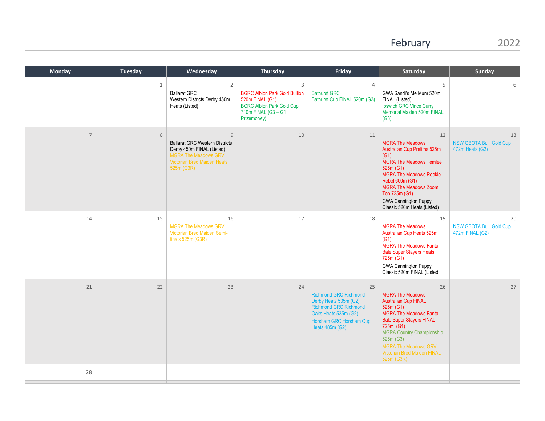## February 2022

| <b>Monday</b>  | <b>Tuesday</b> | Wednesday                                                                                                                                                        | Thursday                                                                                                                               | Friday                                                                                                                                                            | Saturday                                                                                                                                                                                                                                                                                | <b>Sunday</b>                                            |
|----------------|----------------|------------------------------------------------------------------------------------------------------------------------------------------------------------------|----------------------------------------------------------------------------------------------------------------------------------------|-------------------------------------------------------------------------------------------------------------------------------------------------------------------|-----------------------------------------------------------------------------------------------------------------------------------------------------------------------------------------------------------------------------------------------------------------------------------------|----------------------------------------------------------|
|                | $\mathbf{1}$   | 2<br><b>Ballarat GRC</b><br>Western Districts Derby 450m<br>Heats (Listed)                                                                                       | 3<br><b>BGRC Albion Park Gold Bullion</b><br>520m FINAL (G1)<br><b>BGRC Albion Park Gold Cup</b><br>710m FINAL (G3 - G1<br>Prizemoney) | $\overline{4}$<br><b>Bathurst GRC</b><br>Bathurst Cup FINAL 520m (G3)                                                                                             | 5<br>GWA Sandi's Me Mum 520m<br>FINAL (Listed)<br>Ipswich GRC Vince Curry<br>Memorial Maiden 520m FINAL<br>(G3)                                                                                                                                                                         | 6                                                        |
| $\overline{7}$ | $\,8\,$        | $\overline{9}$<br><b>Ballarat GRC Western Districts</b><br>Derby 450m FINAL (Listed)<br><b>MGRA The Meadows GRV</b><br>Victorian Bred Maiden Heats<br>525m (G3R) | 10                                                                                                                                     | 11                                                                                                                                                                | 12<br><b>MGRA The Meadows</b><br>Australian Cup Prelims 525m<br>(G1)<br><b>MGRA The Meadows Temlee</b><br>525m (G1)<br><b>MGRA The Meadows Rookie</b><br>Rebel 600m (G1)<br><b>MGRA The Meadows Zoom</b><br>Top 725m (G1)<br><b>GWA Cannington Puppy</b><br>Classic 520m Heats (Listed) | 13<br><b>NSW GBOTA Bulli Gold Cup</b><br>472m Heats (G2) |
| 14             | 15             | 16<br><b>MGRA The Meadows GRV</b><br>Victorian Bred Maiden Semi-<br>finals $525m$ (G3R)                                                                          | 17                                                                                                                                     | 18                                                                                                                                                                | 19<br><b>MGRA The Meadows</b><br>Australian Cup Heats 525m<br>(G1)<br><b>MGRA The Meadows Fanta</b><br><b>Bale Super Stayers Heats</b><br>725m (G1)<br><b>GWA Cannington Puppy</b><br>Classic 520m FINAL (Listed                                                                        | 20<br><b>NSW GBOTA Bulli Gold Cup</b><br>472m FINAL (G2) |
| 21             | 22             | 23                                                                                                                                                               | 24                                                                                                                                     | 25<br><b>Richmond GRC Richmond</b><br>Derby Heats 535m (G2)<br><b>Richmond GRC Richmond</b><br>Oaks Heats 535m (G2)<br>Horsham GRC Horsham Cup<br>Heats 485m (G2) | 26<br><b>MGRA The Meadows</b><br><b>Australian Cup FINAL</b><br>525m (G1)<br><b>MGRA</b> The Meadows Fanta<br><b>Bale Super Stayers FINAL</b><br>725m (G1)<br><b>MGRA Country Championship</b><br>525m (G3)<br>MGRA The Meadows GRV<br>Victorian Bred Maiden FINAL<br>525m (G3R)        | 27                                                       |
| 28             |                |                                                                                                                                                                  |                                                                                                                                        |                                                                                                                                                                   |                                                                                                                                                                                                                                                                                         |                                                          |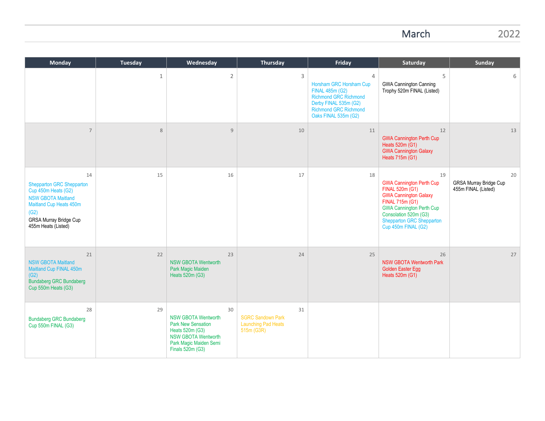March 2022

| <b>Monday</b>                                                                                                                                                                  | <b>Tuesday</b> | Wednesday                                                                                                                                                    | Thursday                                                                   | Friday                                                                                                                                                                               | Saturday                                                                                                                                                                                                                                      | <b>Sunday</b>                                       |
|--------------------------------------------------------------------------------------------------------------------------------------------------------------------------------|----------------|--------------------------------------------------------------------------------------------------------------------------------------------------------------|----------------------------------------------------------------------------|--------------------------------------------------------------------------------------------------------------------------------------------------------------------------------------|-----------------------------------------------------------------------------------------------------------------------------------------------------------------------------------------------------------------------------------------------|-----------------------------------------------------|
|                                                                                                                                                                                | $\mathbf{1}$   | $\overline{2}$                                                                                                                                               | $\mathsf{3}$                                                               | $\overline{4}$<br>Horsham GRC Horsham Cup<br><b>FINAL 485m (G2)</b><br><b>Richmond GRC Richmond</b><br>Derby FINAL 535m (G2)<br><b>Richmond GRC Richmond</b><br>Oaks FINAL 535m (G2) | 5<br><b>GWA Cannington Canning</b><br>Trophy 520m FINAL (Listed)                                                                                                                                                                              | 6                                                   |
| $\overline{7}$                                                                                                                                                                 | 8              | 9                                                                                                                                                            | 10                                                                         | 11                                                                                                                                                                                   | 12<br><b>GWA Cannington Perth Cup</b><br>Heats 520m (G1)<br><b>GWA Cannington Galaxy</b><br>Heats $715m(G1)$                                                                                                                                  | 13                                                  |
| 14<br><b>Shepparton GRC Shepparton</b><br>Cup 450m Heats (G2)<br><b>NSW GBOTA Maitland</b><br>Maitland Cup Heats 450m<br>(G2)<br>GRSA Murray Bridge Cup<br>455m Heats (Listed) | 15             | 16                                                                                                                                                           | 17                                                                         | 18                                                                                                                                                                                   | 19<br><b>GWA Cannington Perth Cup</b><br>FINAL 520m (G1)<br><b>GWA Cannington Galaxy</b><br>FINAL 715m (G1)<br><b>GWA Cannington Perth Cup</b><br>Consolation 520m (G3)<br><b>Shepparton GRC Shepparton</b><br>Cup <sup>450m</sup> FINAL (G2) | 20<br>GRSA Murray Bridge Cup<br>455m FINAL (Listed) |
| 21<br><b>NSW GBOTA Maitland</b><br>Maitland Cup FINAL 450m<br>(G2)<br><b>Bundaberg GRC Bundaberg</b><br>Cup 550m Heats (G3)                                                    | 22             | 23<br><b>NSW GBOTA Wentworth</b><br>Park Magic Maiden<br>Heats 520m (G3)                                                                                     | 24                                                                         | 25                                                                                                                                                                                   | 26<br><b>NSW GBOTA Wentworth Park</b><br><b>Golden Easter Egg</b><br>Heats 520m (G1)                                                                                                                                                          | 27                                                  |
| 28<br><b>Bundaberg GRC Bundaberg</b><br>Cup 550m FINAL (G3)                                                                                                                    | 29             | 30<br><b>NSW GBOTA Wentworth</b><br><b>Park New Sensation</b><br>Heats 520m (G3)<br><b>NSW GBOTA Wentworth</b><br>Park Magic Maiden Semi<br>Finals 520m (G3) | 31<br><b>SGRC Sandown Park</b><br><b>Launching Pad Heats</b><br>515m (G3R) |                                                                                                                                                                                      |                                                                                                                                                                                                                                               |                                                     |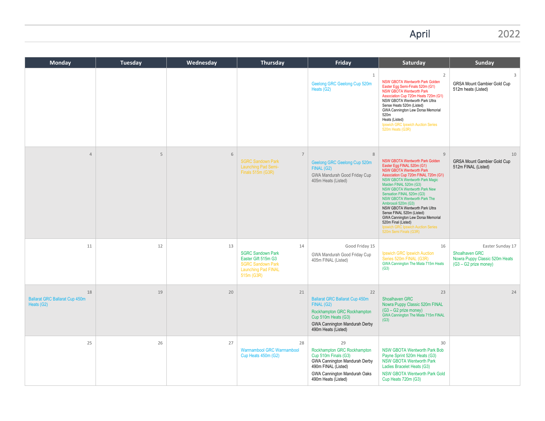# April 2022

| Monday                                                    | Tuesday | Wednesday | Thursday                                                                                                               | Friday                                                                                                                                                                   | Saturday                                                                                                                                                                                                                                                                                                                                                                                                                                                                                                                                            | Sunday                                                                                        |
|-----------------------------------------------------------|---------|-----------|------------------------------------------------------------------------------------------------------------------------|--------------------------------------------------------------------------------------------------------------------------------------------------------------------------|-----------------------------------------------------------------------------------------------------------------------------------------------------------------------------------------------------------------------------------------------------------------------------------------------------------------------------------------------------------------------------------------------------------------------------------------------------------------------------------------------------------------------------------------------------|-----------------------------------------------------------------------------------------------|
|                                                           |         |           |                                                                                                                        | $\mathbf{1}$<br>Geelong GRC Geelong Cup 520m<br>Heats (G2)                                                                                                               | $\overline{2}$<br><b>NSW GBOTA Wentworth Park Golden</b><br>Easter Eqq Semi-Finals 520m (G1)<br>NSW GBOTA Wentworth Park<br>Association Cup 720m Heats 720m (G1)<br>NSW GBOTA Wentworth Park Ultra<br>Sense Heats 520m (Listed)<br>GWA Cannington Lew Dorsa Memorial<br>520m<br>Heats (Listed)<br>Ipswich GRC Ipswich Auction Series<br>520m Heats (G3R)                                                                                                                                                                                            | $\overline{3}$<br><b>GRSA Mount Gambier Gold Cup</b><br>512m heats (Listed)                   |
| $\overline{4}$                                            | 5       | 6         | $\overline{7}$<br><b>SGRC Sandown Park</b><br>Launching Pad Semi-<br>Finals 515m (G3R)                                 | 8<br>Geelong GRC Geelong Cup 520m<br>FINAL (G2)<br>GWA Mandurah Good Friday Cup<br>405m Heats (Listed)                                                                   | $\overline{9}$<br>NSW GBOTA Wentworth Park Golden<br>Easter Egg FINAL 520m (G1)<br><b>NSW GBOTA Wentworth Park</b><br>Association Cup 720m FINAL 720m (G1)<br>NSW GBOTA Wentworth Park Magic<br>Maiden FINAL 520m (G3)<br><b>NSW GBOTA Wentworth Park New</b><br>Sensation FINAL 520m (G3)<br><b>NSW GBOTA Wentworth Park The</b><br>Ambrosoli 520m (G3)<br>NSW GBOTA Wentworth Park Ultra<br>Sense FINAL 520m (Listed)<br>GWA Cannington Lew Dorsa Memorial<br>520m Final (Listed)<br>Ipswich GRC Ipswich Auction Series<br>520m Semi Finals (G3R) | 10<br><b>GRSA Mount Gambier Gold Cup</b><br>512m FINAL (Listed)                               |
| 11                                                        | 12      | 13        | 14<br><b>SGRC Sandown Park</b><br>Easter Gift 515m G3<br><b>SGRC Sandown Park</b><br>Launching Pad FINAL<br>515m (G3R) | Good Friday 15<br>GWA Mandurah Good Friday Cup<br>405m FINAL (Listed)                                                                                                    | 16<br>Ipswich GRC Ipswich Auction<br>Series 520m FINAL (G3R)<br>GWA Cannington The Miata 715m Heats<br>(G3)                                                                                                                                                                                                                                                                                                                                                                                                                                         | Easter Sunday 17<br>Shoalhaven GRC<br>Nowra Puppy Classic 520m Heats<br>(G3 - G2 prize money) |
| 18<br><b>Ballarat GRC Ballarat Cup 450m</b><br>Heats (G2) | 19      | 20        | 21                                                                                                                     | 22<br><b>Ballarat GRC Ballarat Cup 450m</b><br>FINAL (G2)<br>Rockhampton GRC Rockhampton<br>Cup 510m Heats (G3)<br>GWA Cannington Mandurah Derby<br>490m Heats (Listed)  | 23<br>Shoalhaven GRC<br>Nowra Puppy Classic 520m FINAL<br>$(G3 - G2)$ prize money)<br>GWA Cannington The Miata 715m FINAL<br>(G3)                                                                                                                                                                                                                                                                                                                                                                                                                   | 24                                                                                            |
| 25                                                        | 26      | 27        | 28<br>Warrnambool GRC Warrnambool<br>Cup Heats 450m (G2)                                                               | 29<br>Rockhampton GRC Rockhampton<br>Cup 510m Finals (G3)<br>GWA Cannington Mandurah Derby<br>490m FINAL (Listed)<br>GWA Cannington Mandurah Oaks<br>490m Heats (Listed) | 30<br><b>NSW GBOTA Wentworth Park Bob</b><br>Payne Sprint 520m Heats (G3)<br><b>NSW GBOTA Wentworth Park</b><br>Ladies Bracelet Heats (G3)<br><b>NSW GBOTA Wentworth Park Gold</b><br>Cup Heats 720m (G3)                                                                                                                                                                                                                                                                                                                                           |                                                                                               |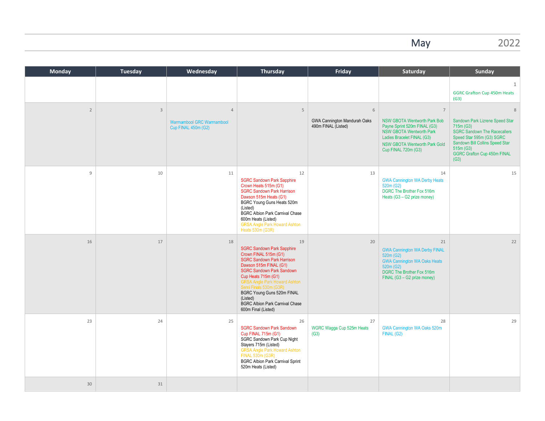May 2022

| <b>Monday</b>  | Tuesday        | Wednesday                                                            | Thursday                                                                                                                                                                                                                                                                                                                                                                | Friday                                                   | Saturday                                                                                                                                                                                                              | Sunday                                                                                                                                                                                                              |
|----------------|----------------|----------------------------------------------------------------------|-------------------------------------------------------------------------------------------------------------------------------------------------------------------------------------------------------------------------------------------------------------------------------------------------------------------------------------------------------------------------|----------------------------------------------------------|-----------------------------------------------------------------------------------------------------------------------------------------------------------------------------------------------------------------------|---------------------------------------------------------------------------------------------------------------------------------------------------------------------------------------------------------------------|
|                |                |                                                                      |                                                                                                                                                                                                                                                                                                                                                                         |                                                          |                                                                                                                                                                                                                       | $\mathbf{1}$<br><b>GGRC Grafton Cup 450m Heats</b><br>(G3)                                                                                                                                                          |
| $\overline{2}$ | $\overline{3}$ | $\overline{4}$<br>Warrnambool GRC Warrnambool<br>Cup FINAL 450m (G2) | 5                                                                                                                                                                                                                                                                                                                                                                       | 6<br>GWA Cannington Mandurah Oaks<br>490m FINAL (Listed) | $\overline{7}$<br><b>NSW GBOTA Wentworth Park Bob</b><br>Payne Sprint 520m FINAL (G3)<br><b>NSW GBOTA Wentworth Park</b><br>Ladies Bracelet FINAL (G3)<br><b>NSW GBOTA Wentworth Park Gold</b><br>Cup FINAL 720m (G3) | 8<br>Sandown Park Lizrene Speed Star<br>715m (G3)<br><b>SGRC Sandown The Racecallers</b><br>Speed Star 595m (G3) SGRC<br>Sandown Bill Collins Speed Star<br>515m (G3)<br><b>GGRC Grafton Cup 450m FINAL</b><br>(G3) |
| 9              | 10             | 11                                                                   | 12<br><b>SGRC Sandown Park Sapphire</b><br>Crown Heats 515m (G1)<br><b>SGRC Sandown Park Harrison</b><br>Dawson 515m Heats (G1)<br>BGRC Young Guns Heats 520m<br>(Listed)<br><b>BGRC Albion Park Carnival Chase</b><br>600m Heats (Listed)<br><b>GRSA Angle Park Howard Ashton</b><br>Heats 530m (G3R)                                                                  | 13                                                       | 14<br><b>GWA Cannington WA Derby Heats</b><br>520m (G2)<br>DGRC The Brother Fox 516m<br>Heats (G3 - G2 prize money)                                                                                                   | 15                                                                                                                                                                                                                  |
| 16             | 17             | 18                                                                   | 19<br><b>SGRC Sandown Park Sapphire</b><br>Crown FINAL 515m (G1)<br><b>SGRC Sandown Park Harrison</b><br>Dawson 515m FINAL (G1)<br><b>SGRC Sandown Park Sandown</b><br>Cup Heats 715m (G1)<br><b>GRSA Angle Park Howard Ashton</b><br>Semi Finals 530m (G3R)<br>BGRC Young Guns 520m FINAL<br>(Listed)<br><b>BGRC</b> Albion Park Carnival Chase<br>600m Final (Listed) | 20                                                       | 21<br><b>GWA Cannington WA Derby FINAL</b><br>520m (G2)<br><b>GWA Cannington WA Oaks Heats</b><br>520m (G2)<br>DGRC The Brother Fox 516m<br>FINAL (G3 - G2 prize money)                                               | 22                                                                                                                                                                                                                  |
| 23             | 24             | 25                                                                   | 26<br><b>SGRC Sandown Park Sandown</b><br>Cup FINAL 715m (G1)<br>SGRC Sandown Park Cup Night<br>Stayers 715m (Listed)<br><b>GRSA Angle Park Howard Ashton</b><br>FINAL 530m (G3R)<br><b>BGRC Albion Park Carnival Sprint</b><br>520m Heats (Listed)                                                                                                                     | 27<br>WGRC Wagga Cup 525m Heats<br>(G3)                  | 28<br>GWA Cannington WA Oaks 520m<br>FINAL (G2)                                                                                                                                                                       | 29                                                                                                                                                                                                                  |
| 30             | 31             |                                                                      |                                                                                                                                                                                                                                                                                                                                                                         |                                                          |                                                                                                                                                                                                                       |                                                                                                                                                                                                                     |